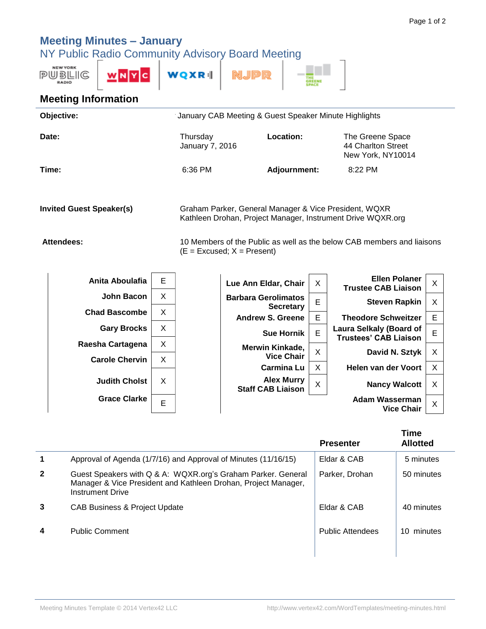## **Meeting Minutes – January**

NY Public Radio Community Advisory Board Meeting

| <b>NEW YORK</b><br>PUBLIG<br><b>RADIO</b> | WNYC | <b>WQXR</b> |  |  |  |
|-------------------------------------------|------|-------------|--|--|--|
|-------------------------------------------|------|-------------|--|--|--|

## **Meeting Information**

| Objective:                      |                      |   | January CAB Meeting & Guest Speaker Minute Highlights                                                                |  |                                                |   |                                                             |   |
|---------------------------------|----------------------|---|----------------------------------------------------------------------------------------------------------------------|--|------------------------------------------------|---|-------------------------------------------------------------|---|
|                                 | Date:                |   | Thursday<br>January 7, 2016                                                                                          |  | Location:                                      |   | The Greene Space<br>44 Charlton Street<br>New York, NY10014 |   |
|                                 | Time:                |   | 6:36 PM                                                                                                              |  | <b>Adjournment:</b>                            |   | 8:22 PM                                                     |   |
| <b>Invited Guest Speaker(s)</b> |                      |   | Graham Parker, General Manager & Vice President, WQXR<br>Kathleen Drohan, Project Manager, Instrument Drive WQXR.org |  |                                                |   |                                                             |   |
| <b>Attendees:</b>               |                      |   | 10 Members of the Public as well as the below CAB members and liaisons<br>$(E = Excused; X = Present)$               |  |                                                |   |                                                             |   |
|                                 | Anita Aboulafia      | Е |                                                                                                                      |  | Lue Ann Eldar, Chair                           | X | <b>Ellen Polaner</b><br><b>Trustee CAB Liaison</b>          | X |
|                                 | John Bacon           | X |                                                                                                                      |  | <b>Barbara Gerolimatos</b><br><b>Secretary</b> | E | <b>Steven Rapkin</b>                                        | X |
|                                 | <b>Chad Bascombe</b> | X |                                                                                                                      |  | <b>Andrew S. Greene</b>                        | E | <b>Theodore Schweitzer</b>                                  | E |
|                                 | <b>Gary Brocks</b>   | X |                                                                                                                      |  | <b>Sue Hornik</b>                              | E | Laura Selkaly (Board of<br><b>Trustees' CAB Liaison</b>     | E |
|                                 | Raesha Cartagena     | x |                                                                                                                      |  | .  .                                           |   |                                                             |   |

|                       |   | הוועו כאי ט. טו פכוופ                         |   | <u>HIGOUOLG OCHWEILZEI</u>                 |   |  |
|-----------------------|---|-----------------------------------------------|---|--------------------------------------------|---|--|
| <b>Gary Brocks</b>    | X | <b>Sue Hornik</b>                             | E | <b>Laura Selkaly (Board of</b>             | Е |  |
| Raesha Cartagena      | X | <b>Merwin Kinkade,</b>                        |   | <b>Trustees' CAB Liaison</b>               |   |  |
| <b>Carole Chervin</b> | X | <b>Vice Chair</b>                             | X | David N. Sztyk                             | Х |  |
|                       |   | <b>Carmina Lu</b>                             | X | Helen van der Voort                        | Х |  |
| <b>Judith Cholst</b>  | X | <b>Alex Murry</b><br><b>Staff CAB Liaison</b> | X | <b>Nancy Walcott</b>                       | X |  |
| <b>Grace Clarke</b>   | E |                                               |   | <b>Adam Wasserman</b><br><b>Vice Chair</b> | X |  |

|              |                                                                                                                                                           | <b>Presenter</b>        | <b>Time</b><br><b>Allotted</b> |
|--------------|-----------------------------------------------------------------------------------------------------------------------------------------------------------|-------------------------|--------------------------------|
| 1            | Approval of Agenda (1/7/16) and Approval of Minutes (11/16/15)                                                                                            | Eldar & CAB             | 5 minutes                      |
| $\mathbf{2}$ | Guest Speakers with Q & A: WQXR.org's Graham Parker. General<br>Manager & Vice President and Kathleen Drohan, Project Manager,<br><b>Instrument Drive</b> | Parker, Drohan          | 50 minutes                     |
| 3            | CAB Business & Project Update                                                                                                                             | Eldar & CAB             | 40 minutes                     |
| 4            | <b>Public Comment</b>                                                                                                                                     | <b>Public Attendees</b> | minutes<br>10                  |